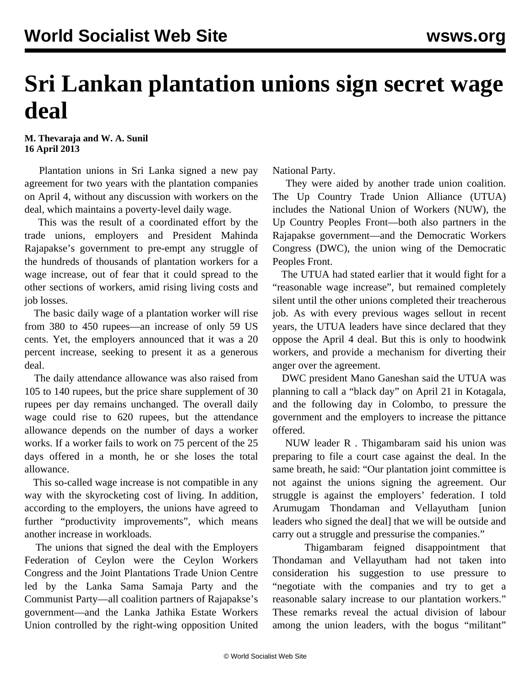## **Sri Lankan plantation unions sign secret wage deal**

**M. Thevaraja and W. A. Sunil 16 April 2013**

 Plantation unions in Sri Lanka signed a new pay agreement for two years with the plantation companies on April 4, without any discussion with workers on the deal, which maintains a poverty-level daily wage.

 This was the result of a coordinated effort by the trade unions, employers and President Mahinda Rajapakse's government to pre-empt any struggle of the hundreds of thousands of plantation workers for a wage increase, out of fear that it could spread to the other sections of workers, amid rising living costs and job losses.

 The basic daily wage of a plantation worker will rise from 380 to 450 rupees—an increase of only 59 US cents. Yet, the employers announced that it was a 20 percent increase, seeking to present it as a generous deal.

 The daily attendance allowance was also raised from 105 to 140 rupees, but the price share supplement of 30 rupees per day remains unchanged. The overall daily wage could rise to 620 rupees, but the attendance allowance depends on the number of days a worker works. If a worker fails to work on 75 percent of the 25 days offered in a month, he or she loses the total allowance.

 This so-called wage increase is not compatible in any way with the skyrocketing cost of living. In addition, according to the employers, the unions have agreed to further "productivity improvements", which means another increase in workloads.

 The unions that signed the deal with the Employers Federation of Ceylon were the Ceylon Workers Congress and the Joint Plantations Trade Union Centre led by the Lanka Sama Samaja Party and the Communist Party—all coalition partners of Rajapakse's government—and the Lanka Jathika Estate Workers Union controlled by the right-wing opposition United National Party.

 They were aided by another trade union coalition. The Up Country Trade Union Alliance (UTUA) includes the National Union of Workers (NUW), the Up Country Peoples Front—both also partners in the Rajapakse government—and the Democratic Workers Congress (DWC), the union wing of the Democratic Peoples Front.

 The UTUA had stated earlier that it would fight for a "reasonable wage increase", but remained completely silent until the other unions completed their treacherous job. As with every previous wages sellout in recent years, the UTUA leaders have since declared that they oppose the April 4 deal. But this is only to hoodwink workers, and provide a mechanism for diverting their anger over the agreement.

 DWC president Mano Ganeshan said the UTUA was planning to call a "black day" on April 21 in Kotagala, and the following day in Colombo, to pressure the government and the employers to increase the pittance offered.

 NUW leader R *.* Thigambaram said his union was preparing to file a court case against the deal. In the same breath, he said: "Our plantation joint committee is not against the unions signing the agreement. Our struggle is against the employers' federation. I told Arumugam Thondaman and Vellayutham [union leaders who signed the deal] that we will be outside and carry out a struggle and pressurise the companies."

 Thigambaram feigned disappointment that Thondaman and Vellayutham had not taken into consideration his suggestion to use pressure to "negotiate with the companies and try to get a reasonable salary increase to our plantation workers." These remarks reveal the actual division of labour among the union leaders, with the bogus "militant"